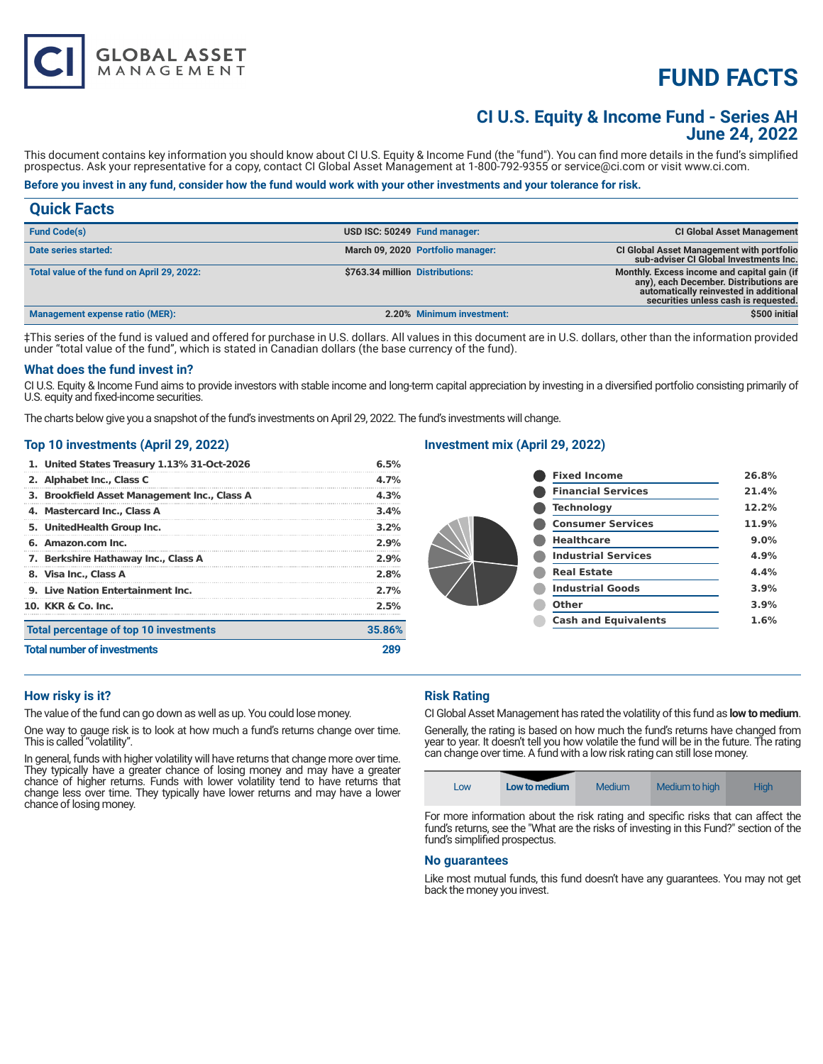# **FUND FACTS**

# **CI U.S. Equity & Income Fund - Series AH June 24, 2022**

This document contains key information you should know about CI U.S. Equity & Income Fund (the "fund"). You can find more details in the fund's simplified prospectus. Ask your representative for a copy, contact CI Global Asset Management at 1-800-792-9355 or service@ci.com or visit www.ci.com.

# **Before you invest in any fund, consider how the fund would work with your other investments and your tolerance for risk.**

| <b>Quick Facts</b>                         |                                 |                                   |                                                                                                                                                                         |
|--------------------------------------------|---------------------------------|-----------------------------------|-------------------------------------------------------------------------------------------------------------------------------------------------------------------------|
| <b>Fund Code(s)</b>                        |                                 | USD ISC: 50249 Fund manager:      | <b>CI Global Asset Management</b>                                                                                                                                       |
| Date series started:                       |                                 | March 09, 2020 Portfolio manager: | <b>CI Global Asset Management with portfolio</b><br>sub-adviser CI Global Investments Inc.                                                                              |
| Total value of the fund on April 29, 2022: | \$763.34 million Distributions: |                                   | Monthly. Excess income and capital gain (if<br>any), each December. Distributions are<br>automatically reinvested in additional<br>securities unless cash is requested. |
| <b>Management expense ratio (MER):</b>     |                                 | 2.20% Minimum investment:         | \$500 initial                                                                                                                                                           |

‡This series of the fund is valued and offered for purchase in U.S. dollars. All values in this document are in U.S. dollars, other than the information provided under "total value of the fund", which is stated in Canadian dollars (the base currency of the fund).

#### **What does the fund invest in?**

CI U.S. Equity & Income Fund aims to provide investors with stable income and long-term capital appreciation by investing in a diversified portfolio consisting primarily of U.S. equity and fixed-income securities.

The charts below give you a snapshot of the fund's investments on April 29, 2022. The fund's investments will change.

#### **Top 10 investments (April 29, 2022)**

**GLOBAL ASSET**<br>MANAGEMENT

| 1. United States Treasury 1.13% 31-Oct-2026  | 6.5%    |
|----------------------------------------------|---------|
| 2. Alphabet Inc., Class C                    | 4.7%    |
| 3. Brookfield Asset Management Inc., Class A | 4.3%    |
| 4. Mastercard Inc., Class A                  | 3.4%    |
| 5. UnitedHealth Group Inc.                   | $3.2\%$ |
| 6. Amazon.com Inc.                           | 2.9%    |
| 7. Berkshire Hathaway Inc., Class A          | 2.9%    |
| 8. Visa Inc., Class A                        | 2.8%    |
| 9. Live Nation Entertainment Inc.            | 2.7%    |
| 10. KKR & Co. Inc.                           | 2.5%    |
| Total percentage of top 10 investments       | 35.86%  |
| <b>Total number of investments</b>           |         |

# **Investment mix (April 29, 2022)**

| <b>Fixed Income</b>         | 26.8% |
|-----------------------------|-------|
| <b>Financial Services</b>   | 21.4% |
| <b>Technology</b>           | 12.2% |
| <b>Consumer Services</b>    | 11.9% |
| <b>Healthcare</b>           | 9.0%  |
| <b>Industrial Services</b>  | 4.9%  |
| <b>Real Estate</b>          | 4.4%  |
| <b>Industrial Goods</b>     | 3.9%  |
| Other                       | 3.9%  |
| <b>Cash and Equivalents</b> | 1.6%  |
|                             |       |

### **How risky is it?**

The value of the fund can go down as well as up. You could lose money.

One way to gauge risk is to look at how much a fund's returns change over time. This is called "volatility".

In general, funds with higher volatility will have returns that change more over time. They typically have a greater chance of losing money and may have a greater chance of higher returns. Funds with lower volatility tend to have returns that change less over time. They typically have lower returns and may have a lower chance of losing money.

### **Risk Rating**

CI Global Asset Management has rated the volatility of this fund as **low to medium**.

Generally, the rating is based on how much the fund's returns have changed from year to year. It doesn't tell you how volatile the fund will be in the future. The rating can change over time. A fund with a low risk rating can still lose money.

|--|

For more information about the risk rating and specific risks that can affect the fund's returns, see the "What are the risks of investing in this Fund?" section of the fund's simplified prospectus.

### **No guarantees**

Like most mutual funds, this fund doesn't have any guarantees. You may not get back the money you invest.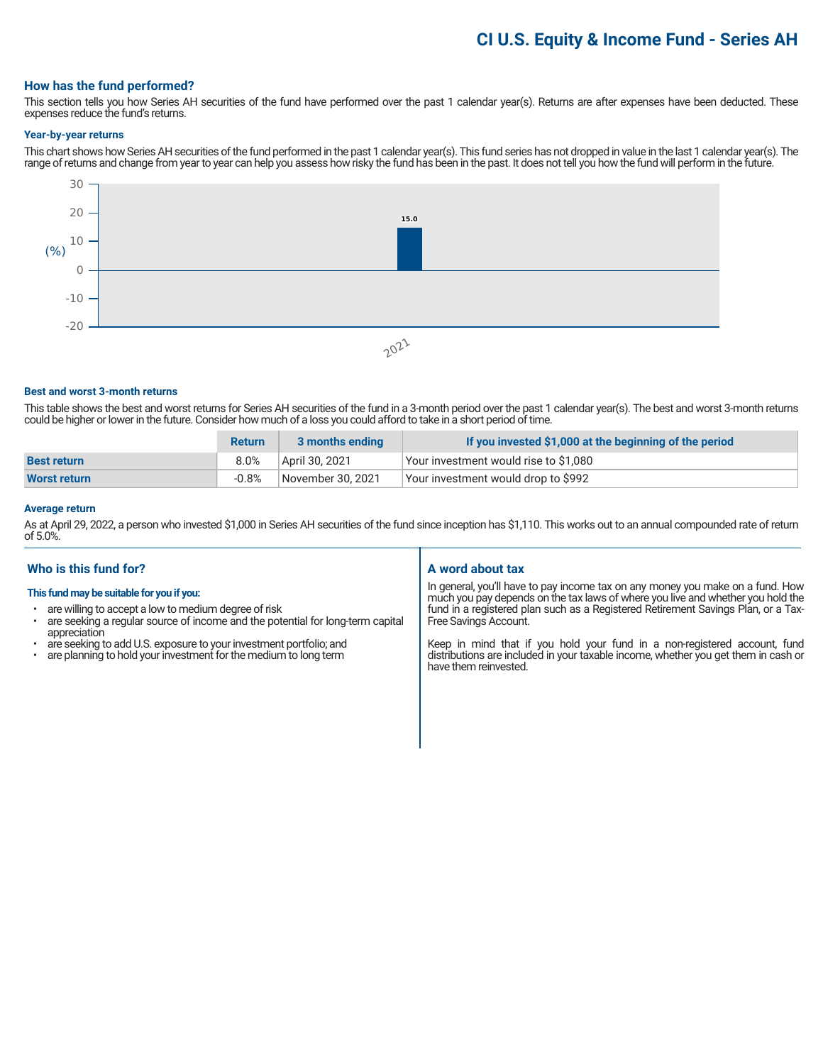# **CI U.S. Equity & Income Fund - Series AH**

## **How has the fund performed?**

This section tells you how Series AH securities of the fund have performed over the past 1 calendar year(s). Returns are after expenses have been deducted. These expenses reduce the fund's returns.

#### **Year-by-year returns**

This chart shows how Series AH securities of the fund performed in the past 1 calendar year(s). This fund series has not dropped in value in the last 1 calendar year(s). The range of returns and change from year to year can help you assess how risky the fund has been in the past. It does not tell you how the fund will perform in the future.



#### **Best and worst 3-month returns**

This table shows the best and worst returns for Series AH securities of the fund in a 3-month period over the past 1 calendar year(s). The best and worst 3-month returns could be higher or lower in the future. Consider how much of a loss you could afford to take in a short period of time.

|                     | <b>Return</b> | 3 months ending   | If you invested \$1,000 at the beginning of the period |
|---------------------|---------------|-------------------|--------------------------------------------------------|
| <b>Best return</b>  | 8.0%          | April 30, 2021    | Vour investment would rise to \$1,080                  |
| <b>Worst return</b> | $-0.8%$       | November 30, 2021 | Your investment would drop to \$992                    |

# **Average return**

As at April 29, 2022, a person who invested \$1,000 in Series AH securities of the fund since inception has \$1,110. This works out to an annual compounded rate of return of 5.0%.

### **Who is this fund for?**

### **This fund may be suitable for you if you:**

- are willing to accept a low to medium degree of risk
- are seeking a regular source of income and the potential for long-term capital appreciation
- are seeking to add U.S. exposure to your investment portfolio; and<br>• are planning to hold your investment for the medium to long term
- are planning to hold your investment for the medium to long term

#### **A word about tax**

In general, you'll have to pay income tax on any money you make on a fund. How much you pay depends on the tax laws of where you live and whether you hold the fund in a registered plan such as a Registered Retirement Savings Plan, or a Tax-Free Savings Account.

Keep in mind that if you hold your fund in a non-registered account, fund distributions are included in your taxable income, whether you get them in cash or have them reinvested.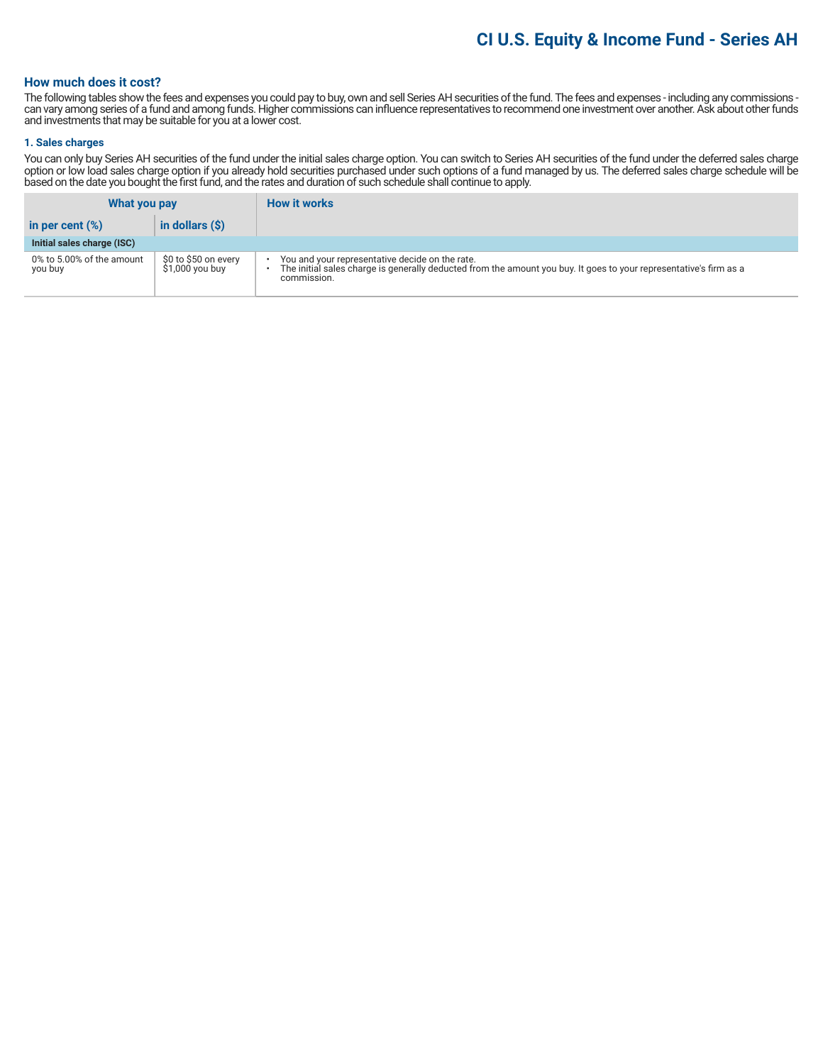# **CI U.S. Equity & Income Fund - Series AH**

# **How much does it cost?**

The following tables show the fees and expenses you could pay to buy, own and sell Series AH securities of the fund. The fees and expenses - including any commissions can vary among series of a fund and among funds. Higher commissions can influence representatives to recommend one investment over another. Ask about other funds and investments that may be suitable for you at a lower cost.

#### **1. Sales charges**

You can only buy Series AH securities of the fund under the initial sales charge option. You can switch to Series AH securities of the fund under the deferred sales charge option or low load sales charge option if you already hold securities purchased under such options of a fund managed by us. The deferred sales charge schedule will be based on the date you bought the first fund, and the rates and duration of such schedule shall continue to apply.

| What you pay                         |                                          | <b>How it works</b>                                                                                                                                                                  |
|--------------------------------------|------------------------------------------|--------------------------------------------------------------------------------------------------------------------------------------------------------------------------------------|
| in per cent $(\%)$                   | in dollars $(S)$                         |                                                                                                                                                                                      |
| Initial sales charge (ISC)           |                                          |                                                                                                                                                                                      |
| 0% to 5.00% of the amount<br>you buy | \$0 to \$50 on every<br>$$1,000$ you buy | You and your representative decide on the rate.<br>The initial sales charge is generally deducted from the amount you buy. It goes to your representative's firm as a<br>commission. |